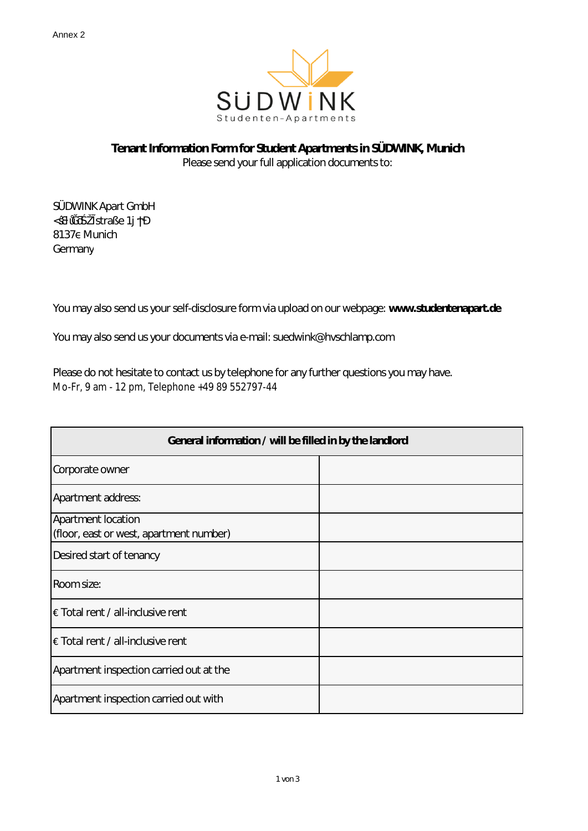

## **Tenant Information Form for Student Apartments in SÜDWINK, Munich**

Please send your full application documents to:

SÜDWINK Apart GmbH M straße 1 8137 Munich **Germany** 

You may also send us your self-disclosure form via upload on our webpage: **www.studentenapart.de**

You may also send us your documents via e-mail: suedwink@hvschlamp.com

Please do not hesitate to contact us by telephone for any further questions you may have. Mo-Fr, 9 am - 12 pm, Telephone +49 89 552797-44

| General information / will be filled in by the landlord |  |  |  |
|---------------------------------------------------------|--|--|--|
| Corporate owner                                         |  |  |  |
| Apartment address:                                      |  |  |  |
| Apartment location                                      |  |  |  |
| (floor, east or west, apartment number)                 |  |  |  |
| Desired start of tenancy                                |  |  |  |
| Room size:                                              |  |  |  |
| $\epsilon$ Total rent / all-inclusive rent              |  |  |  |
| $\epsilon$ Total rent / all-inclusive rent              |  |  |  |
| Apartment inspection carried out at the                 |  |  |  |
| Apartment inspection carried out with                   |  |  |  |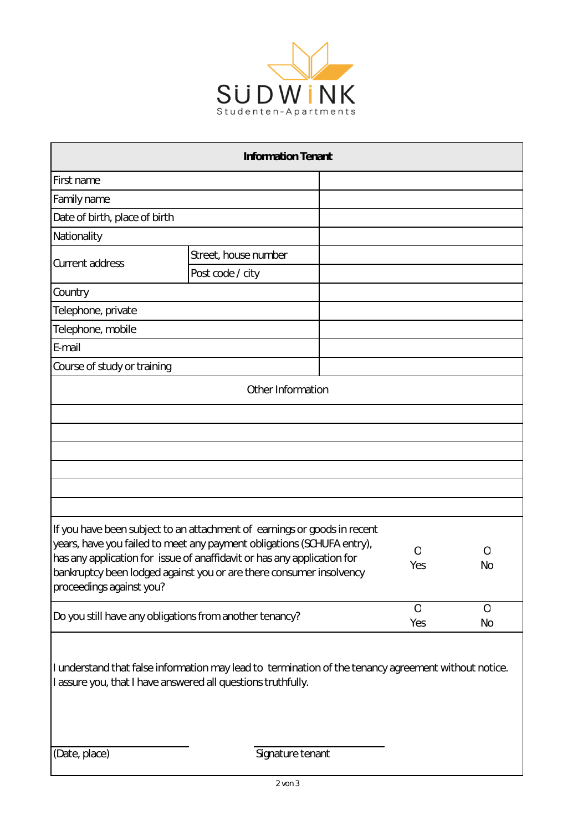

| <b>Information Tenant</b>                                                                                                                                            |                      |          |                  |          |  |
|----------------------------------------------------------------------------------------------------------------------------------------------------------------------|----------------------|----------|------------------|----------|--|
| First name                                                                                                                                                           |                      |          |                  |          |  |
| Family name                                                                                                                                                          |                      |          |                  |          |  |
| Date of birth, place of birth                                                                                                                                        |                      |          |                  |          |  |
| Nationality                                                                                                                                                          |                      |          |                  |          |  |
|                                                                                                                                                                      | Street, house number |          |                  |          |  |
| <b>Current address</b>                                                                                                                                               | Post code / city     |          |                  |          |  |
| Country                                                                                                                                                              |                      |          |                  |          |  |
| Telephone, private                                                                                                                                                   |                      |          |                  |          |  |
| Telephone, mobile                                                                                                                                                    |                      |          |                  |          |  |
| E-mail                                                                                                                                                               |                      |          |                  |          |  |
| Course of study or training                                                                                                                                          |                      |          |                  |          |  |
|                                                                                                                                                                      | Other Information    |          |                  |          |  |
|                                                                                                                                                                      |                      |          |                  |          |  |
|                                                                                                                                                                      |                      |          |                  |          |  |
|                                                                                                                                                                      |                      |          |                  |          |  |
|                                                                                                                                                                      |                      |          |                  |          |  |
|                                                                                                                                                                      |                      |          |                  |          |  |
|                                                                                                                                                                      |                      |          |                  |          |  |
|                                                                                                                                                                      |                      |          |                  |          |  |
| If you have been subject to an attachment of earnings or goods in recent                                                                                             |                      |          |                  |          |  |
| years, have you failed to meet any payment obligations (SCHUFA entry),                                                                                               |                      | $\Omega$ | $\left( \right)$ |          |  |
| has any application for issue of anaffidavit or has any application for<br>bankruptcy been lodged against you or are there consumer insolvency                       |                      | Yes      | No               |          |  |
| proceedings against you?                                                                                                                                             |                      |          |                  |          |  |
|                                                                                                                                                                      |                      |          | $\mathbf{O}$     | $\Omega$ |  |
| Do you still have any obligations from another tenancy?                                                                                                              |                      | Yes      | No               |          |  |
|                                                                                                                                                                      |                      |          |                  |          |  |
|                                                                                                                                                                      |                      |          |                  |          |  |
| I understand that false information may lead to termination of the tenancy agreement without notice.<br>I assure you, that I have answered all questions truthfully. |                      |          |                  |          |  |
|                                                                                                                                                                      |                      |          |                  |          |  |
|                                                                                                                                                                      |                      |          |                  |          |  |
|                                                                                                                                                                      |                      |          |                  |          |  |

(Date, place) Signature tenant